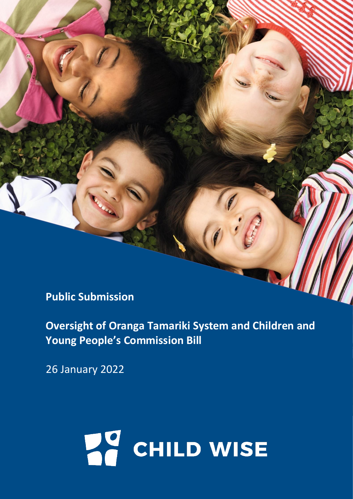**Public Submission** 

**Oversight of Oranga Tamariki System and Children and Young People's Commission Bill**

26 January 2022

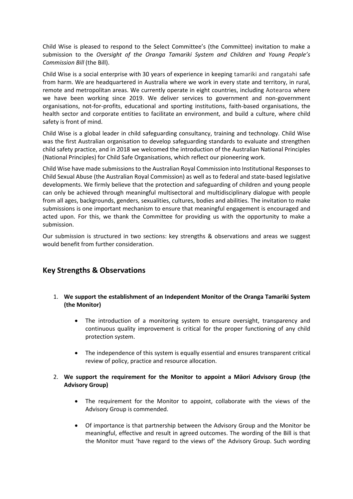Child Wise is pleased to respond to the Select Committee's (the Committee) invitation to make a submission to the *Oversight of the Oranga Tamariki System and Children and Young People's Commission Bill* (the Bill).

Child Wise is a social enterprise with 30 years of experience in keeping tamariki and rangatahi safe from harm. We are headquartered in Australia where we work in every state and territory, in rural, remote and metropolitan areas. We currently operate in eight countries, including Aotearoa where we have been working since 2019. We deliver services to government and non-government organisations, not-for-profits, educational and sporting institutions, faith-based organisations, the health sector and corporate entities to facilitate an environment, and build a culture, where child safety is front of mind.

Child Wise is a global leader in child safeguarding consultancy, training and technology. Child Wise was the first Australian organisation to develop safeguarding standards to evaluate and strengthen child safety practice, and in 2018 we welcomed the introduction of the Australian National Principles (National Principles) for Child Safe Organisations, which reflect our pioneering work.

Child Wise have made submissions to the Australian Royal Commission into Institutional Responses to Child Sexual Abuse (the Australian Royal Commission) as well as to federal and state-based legislative developments. We firmly believe that the protection and safeguarding of children and young people can only be achieved through meaningful multisectoral and multidisciplinary dialogue with people from all ages, backgrounds, genders, sexualities, cultures, bodies and abilities. The invitation to make submissions is one important mechanism to ensure that meaningful engagement is encouraged and acted upon. For this, we thank the Committee for providing us with the opportunity to make a submission.

Our submission is structured in two sections: key strengths & observations and areas we suggest would benefit from further consideration.

# **Key Strengths & Observations**

- 1. **We support the establishment of an Independent Monitor of the Oranga Tamariki System (the Monitor)**
	- The introduction of a monitoring system to ensure oversight, transparency and continuous quality improvement is critical for the proper functioning of any child protection system.
	- The independence of this system is equally essential and ensures transparent critical review of policy, practice and resource allocation.
- 2. **We support the requirement for the Monitor to appoint a Māori Advisory Group (the Advisory Group)**
	- The requirement for the Monitor to appoint, collaborate with the views of the Advisory Group is commended.
	- Of importance is that partnership between the Advisory Group and the Monitor be meaningful, effective and result in agreed outcomes. The wording of the Bill is that the Monitor must 'have regard to the views of' the Advisory Group. Such wording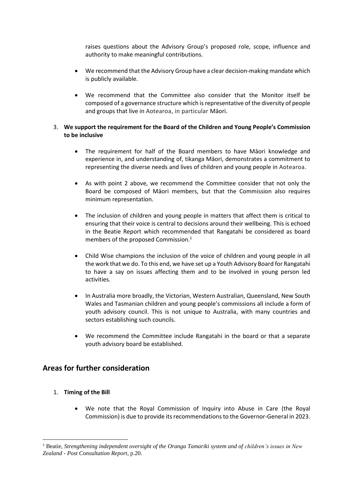raises questions about the Advisory Group's proposed role, scope, influence and authority to make meaningful contributions.

- We recommend that the Advisory Group have a clear decision-making mandate which is publicly available.
- We recommend that the Committee also consider that the Monitor itself be composed of a governance structure which is representative of the diversity of people and groups that live in Aotearoa, in particular Māori.

## 3. **We support the requirement for the Board of the Children and Young People's Commission to be inclusive**

- The requirement for half of the Board members to have Māori knowledge and experience in, and understanding of, tikanga Māori, demonstrates a commitment to representing the diverse needs and lives of children and young people in Aotearoa.
- As with point 2 above, we recommend the Committee consider that not only the Board be composed of Māori members, but that the Commission also requires minimum representation.
- The inclusion of children and young people in matters that affect them is critical to ensuring that their voice is central to decisions around their wellbeing. This is echoed in the Beatie Report which recommended that Rangatahi be considered as board members of the proposed Commission.<sup>1</sup>
- Child Wise champions the inclusion of the voice of children and young people in all the work that we do. To this end, we have set up a Youth Advisory Board for Rangatahi to have a say on issues affecting them and to be involved in young person led activities.
- In Australia more broadly, the Victorian, Western Australian, Queensland, New South Wales and Tasmanian children and young people's commissions all include a form of youth advisory council. This is not unique to Australia, with many countries and sectors establishing such councils.
- We recommend the Committee include Rangatahi in the board or that a separate youth advisory board be established.

# **Areas for further consideration**

- 1. **Timing of the Bill**
	- We note that the Royal Commission of Inquiry into Abuse in Care (the Royal Commission) is due to provide its recommendations to the Governor-General in 2023.

<sup>1</sup> Beatie, *Strengthening independent oversight of the Oranga Tamariki system and of children's issues in New Zealand - Post Consultation Report*, p.20.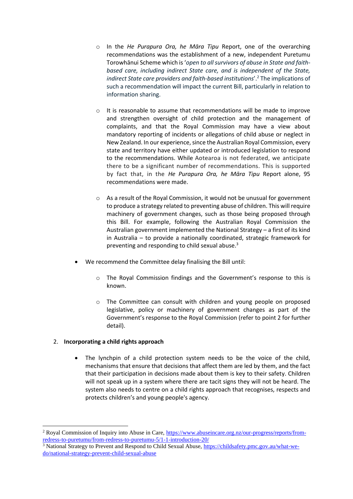- o In the *He Purapura Ora, he Māra Tipu* Report, one of the overarching recommendations was the establishment of a new, independent Puretumu Torowhānui Scheme which is '*open to all survivors of abuse in State and faithbased care, including indirect State care, and is independent of the State, indirect State care providers and faith-based institutions*'.<sup>2</sup> The implications of such a recommendation will impact the current Bill, particularly in relation to information sharing.
- o It is reasonable to assume that recommendations will be made to improve and strengthen oversight of child protection and the management of complaints, and that the Royal Commission may have a view about mandatory reporting of incidents or allegations of child abuse or neglect in New Zealand. In our experience, since the Australian Royal Commission, every state and territory have either updated or introduced legislation to respond to the recommendations. While Aotearoa is not federated, we anticipate there to be a significant number of recommendations. This is supported by fact that, in the *He Purapura Ora, he Māra Tipu* Report alone, 95 recommendations were made.
- $\circ$  As a result of the Royal Commission, it would not be unusual for government to produce a strategy related to preventing abuse of children. This will require machinery of government changes, such as those being proposed through this Bill. For example, following the Australian Royal Commission the Australian government implemented the National Strategy – a first of its kind in Australia – to provide a nationally coordinated, strategic framework for preventing and responding to child sexual abuse.<sup>3</sup>
- We recommend the Committee delay finalising the Bill until:
	- o The Royal Commission findings and the Government's response to this is known.
	- $\circ$  The Committee can consult with children and young people on proposed legislative, policy or machinery of government changes as part of the Government's response to the Royal Commission (refer to point 2 for further detail).

## 2. **Incorporating a child rights approach**

The lynchpin of a child protection system needs to be the voice of the child, mechanisms that ensure that decisions that affect them are led by them, and the fact that their participation in decisions made about them is key to their safety. Children will not speak up in a system where there are tacit signs they will not be heard. The system also needs to centre on a child rights approach that recognises, respects and protects children's and young people's agency.

<sup>2</sup> Royal Commission of Inquiry into Abuse in Care, [https://www.abuseincare.org.nz/our-progress/reports/from](https://www.abuseincare.org.nz/our-progress/reports/from-redress-to-puretumu/from-redress-to-puretumu-5/1-1-introduction-20/)[redress-to-puretumu/from-redress-to-puretumu-5/1-1-introduction-20/](https://www.abuseincare.org.nz/our-progress/reports/from-redress-to-puretumu/from-redress-to-puretumu-5/1-1-introduction-20/)

<sup>&</sup>lt;sup>3</sup> National Strategy to Prevent and Respond to Child Sexual Abuse, [https://childsafety.pmc.gov.au/what-we](https://childsafety.pmc.gov.au/what-we-do/national-strategy-prevent-child-sexual-abuse)[do/national-strategy-prevent-child-sexual-abuse](https://childsafety.pmc.gov.au/what-we-do/national-strategy-prevent-child-sexual-abuse)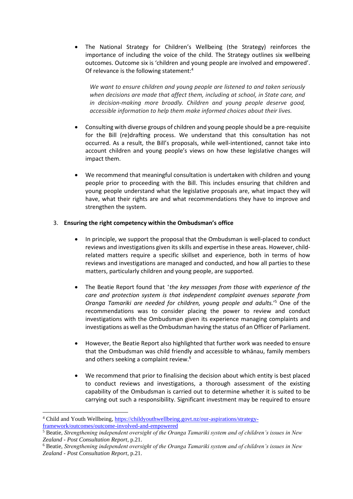• The National Strategy for Children's Wellbeing (the Strategy) reinforces the importance of including the voice of the child. The Strategy outlines six wellbeing outcomes. Outcome six is 'children and young people are involved and empowered'. Of relevance is the following statement:<sup>4</sup>

*We want to ensure children and young people are listened to and taken seriously when decisions are made that affect them, including at school, in State care, and in decision-making more broadly. Children and young people deserve good, accessible information to help them make informed choices about their lives.*

- Consulting with diverse groups of children and young people should be a pre-requisite for the Bill (re)drafting process. We understand that this consultation has not occurred. As a result, the Bill's proposals, while well-intentioned, cannot take into account children and young people's views on how these legislative changes will impact them.
- We recommend that meaningful consultation is undertaken with children and young people prior to proceeding with the Bill. This includes ensuring that children and young people understand what the legislative proposals are, what impact they will have, what their rights are and what recommendations they have to improve and strengthen the system.

## 3. **Ensuring the right competency within the Ombudsman's office**

- In principle, we support the proposal that the Ombudsman is well-placed to conduct reviews and investigations given its skills and expertise in these areas. However, childrelated matters require a specific skillset and experience, both in terms of how reviews and investigations are managed and conducted, and how all parties to these matters, particularly children and young people, are supported.
- The Beatie Report found that '*the key messages from those with experience of the care and protection system is that independent complaint avenues separate from Oranga Tamariki are needed for children, young people and adults.*' <sup>5</sup> One of the recommendations was to consider placing the power to review and conduct investigations with the Ombudsman given its experience managing complaints and investigations as well as the Ombudsman having the status of an Officer of Parliament.
- However, the Beatie Report also highlighted that further work was needed to ensure that the Ombudsman was child friendly and accessible to whānau, family members and others seeking a complaint review.<sup>6</sup>
- We recommend that prior to finalising the decision about which entity is best placed to conduct reviews and investigations, a thorough assessment of the existing capability of the Ombudsman is carried out to determine whether it is suited to be carrying out such a responsibility. Significant investment may be required to ensure

<sup>4</sup> Child and Youth Wellbeing[, https://childyouthwellbeing.govt.nz/our-aspirations/strategy](https://childyouthwellbeing.govt.nz/our-aspirations/strategy-framework/outcomes/outcome-involved-and-empowered)[framework/outcomes/outcome-involved-and-empowered](https://childyouthwellbeing.govt.nz/our-aspirations/strategy-framework/outcomes/outcome-involved-and-empowered)

<sup>5</sup> Beatie, *Strengthening independent oversight of the Oranga Tamariki system and of children's issues in New Zealand - Post Consultation Report*, p.21.

<sup>6</sup> Beatie, *Strengthening independent oversight of the Oranga Tamariki system and of children's issues in New Zealand - Post Consultation Report*, p.21.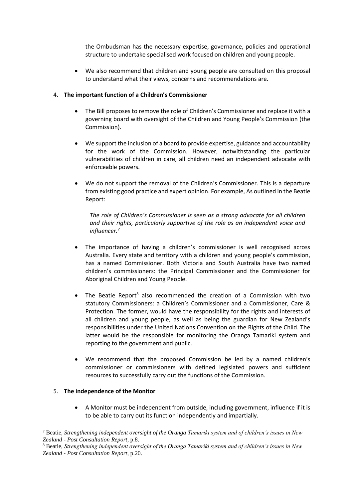the Ombudsman has the necessary expertise, governance, policies and operational structure to undertake specialised work focused on children and young people.

• We also recommend that children and young people are consulted on this proposal to understand what their views, concerns and recommendations are.

#### 4. **The important function of a Children's Commissioner**

- The Bill proposes to remove the role of Children's Commissioner and replace it with a governing board with oversight of the Children and Young People's Commission (the Commission).
- We support the inclusion of a board to provide expertise, guidance and accountability for the work of the Commission. However, notwithstanding the particular vulnerabilities of children in care, all children need an independent advocate with enforceable powers.
- We do not support the removal of the Children's Commissioner. This is a departure from existing good practice and expert opinion. For example, As outlined in the Beatie Report:

*The role of Children's Commissioner is seen as a strong advocate for all children and their rights, particularly supportive of the role as an independent voice and influencer.<sup>7</sup>*

- The importance of having a children's commissioner is well recognised across Australia. Every state and territory with a children and young people's commission, has a named Commissioner. Both Victoria and South Australia have two named children's commissioners: the Principal Commissioner and the Commissioner for Aboriginal Children and Young People.
- The Beatie Report<sup>8</sup> also recommended the creation of a Commission with two statutory Commissioners: a Children's Commissioner and a Commissioner, Care & Protection. The former, would have the responsibility for the rights and interests of all children and young people, as well as being the guardian for New Zealand's responsibilities under the United Nations Convention on the Rights of the Child. The latter would be the responsible for monitoring the Oranga Tamariki system and reporting to the government and public.
- We recommend that the proposed Commission be led by a named children's commissioner or commissioners with defined legislated powers and sufficient resources to successfully carry out the functions of the Commission.

#### 5. **The independence of the Monitor**

• A Monitor must be independent from outside, including government, influence if it is to be able to carry out its function independently and impartially.

<sup>7</sup> Beatie, *Strengthening independent oversight of the Oranga Tamariki system and of children's issues in New Zealand - Post Consultation Report*, p.8.

<sup>8</sup> Beatie, *Strengthening independent oversight of the Oranga Tamariki system and of children's issues in New Zealand - Post Consultation Report*, p.20.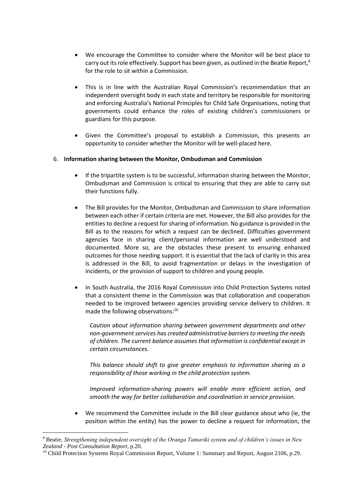- We encourage the Committee to consider where the Monitor will be best place to carry out its role effectively. Support has been given, as outlined in the Beatie Report,<sup>9</sup> for the role to sit within a Commission.
- This is in line with the Australian Royal Commission's recommendation that an independent oversight body in each state and territory be responsible for monitoring and enforcing Australia's National Principles for Child Safe Organisations, noting that governments could enhance the roles of existing children's commissioners or guardians for this purpose.
- Given the Committee's proposal to establish a Commission, this presents an opportunity to consider whether the Monitor will be well-placed here.

#### 6. **Information sharing between the Monitor, Ombudsman and Commission**

- If the tripartite system is to be successful, information sharing between the Monitor, Ombudsman and Commission is critical to ensuring that they are able to carry out their functions fully.
- The Bill provides for the Monitor, Ombudsman and Commission to share information between each other if certain criteria are met. However, the Bill also provides for the entities to decline a request for sharing of information. No guidance is provided in the Bill as to the reasons for which a request can be declined. Difficulties government agencies face in sharing client/personal information are well understood and documented. More so, are the obstacles these present to ensuring enhanced outcomes for those needing support. It is essential that the lack of clarity in this area is addressed in the Bill, to avoid fragmentation or delays in the investigation of incidents, or the provision of support to children and young people.
- In South Australia, the 2016 Royal Commission into Child Protection Systems noted that a consistent theme in the Commission was that collaboration and cooperation needed to be improved between agencies providing service delivery to children. It made the following observations:<sup>10</sup>

*Caution about information sharing between government departments and other non-government services has created administrative barriers to meeting the needs of children. The current balance assumes that information is confidential except in certain circumstances.*

*This balance should shift to give greater emphasis to information sharing as a responsibility of those working in the child protection system.*

*Improved information-sharing powers will enable more efficient action, and smooth the way for better collaboration and coordination in service provision.*

• We recommend the Committee include in the Bill clear guidance about who (ie, the position within the entity) has the power to decline a request for information, the

<sup>9</sup> Beatie, *Strengthening independent oversight of the Oranga Tamariki system and of children's issues in New Zealand - Post Consultation Report*, p.20.

<sup>&</sup>lt;sup>10</sup> Child Protection Systems Royal Commission Report, Volume 1: Summary and Report, August 2106, p.29.